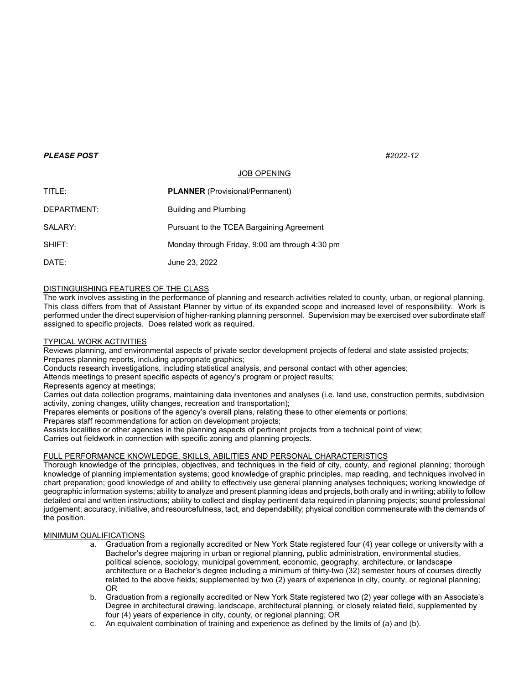#### *PLEASE POST #2022-12*

# JOB OPENING

| TITLE:      | <b>PLANNER</b> (Provisional/Permanent)         |
|-------------|------------------------------------------------|
| DEPARTMENT: | <b>Building and Plumbing</b>                   |
| SALARY:     | Pursuant to the TCEA Bargaining Agreement      |
| SHIFT:      | Monday through Friday, 9:00 am through 4:30 pm |
| DATE:       | June 23, 2022                                  |

# DISTINGUISHING FEATURES OF THE CLASS

The work involves assisting in the performance of planning and research activities related to county, urban, or regional planning. This class differs from that of Assistant Planner by virtue of its expanded scope and increased level of responsibility. Work is performed under the direct supervision of higher-ranking planning personnel. Supervision may be exercised over subordinate staff assigned to specific projects. Does related work as required.

### TYPICAL WORK ACTIVITIES

Reviews planning, and environmental aspects of private sector development projects of federal and state assisted projects; Prepares planning reports, including appropriate graphics;

Conducts research investigations, including statistical analysis, and personal contact with other agencies;

Attends meetings to present specific aspects of agency's program or project results;

Represents agency at meetings;

Carries out data collection programs, maintaining data inventories and analyses (i.e. land use, construction permits, subdivision activity, zoning changes, utility changes, recreation and transportation);

Prepares elements or positions of the agency's overall plans, relating these to other elements or portions;

Prepares staff recommendations for action on development projects;

Assists localities or other agencies in the planning aspects of pertinent projects from a technical point of view; Carries out fieldwork in connection with specific zoning and planning projects.

# FULL PERFORMANCE KNOWLEDGE, SKILLS, ABILITIES AND PERSONAL CHARACTERISTICS

Thorough knowledge of the principles, objectives, and techniques in the field of city, county, and regional planning; thorough knowledge of planning implementation systems; good knowledge of graphic principles, map reading, and techniques involved in chart preparation; good knowledge of and ability to effectively use general planning analyses techniques; working knowledge of geographic information systems; ability to analyze and present planning ideas and projects, both orally and in writing; ability to follow detailed oral and written instructions; ability to collect and display pertinent data required in planning projects; sound professional judgement; accuracy, initiative, and resourcefulness, tact, and dependability; physical condition commensurate with the demands of the position.

#### MINIMUM QUALIFICATIONS

- a. Graduation from a regionally accredited or New York State registered four (4) year college or university with a Bachelor's degree majoring in urban or regional planning, public administration, environmental studies, political science, sociology, municipal government, economic, geography, architecture, or landscape architecture or a Bachelor's degree including a minimum of thirty-two (32) semester hours of courses directly related to the above fields; supplemented by two (2) years of experience in city, county, or regional planning; OR
- b. Graduation from a regionally accredited or New York State registered two (2) year college with an Associate's Degree in architectural drawing, landscape, architectural planning, or closely related field, supplemented by four (4) years of experience in city, county, or regional planning; OR
- c. An equivalent combination of training and experience as defined by the limits of (a) and (b).